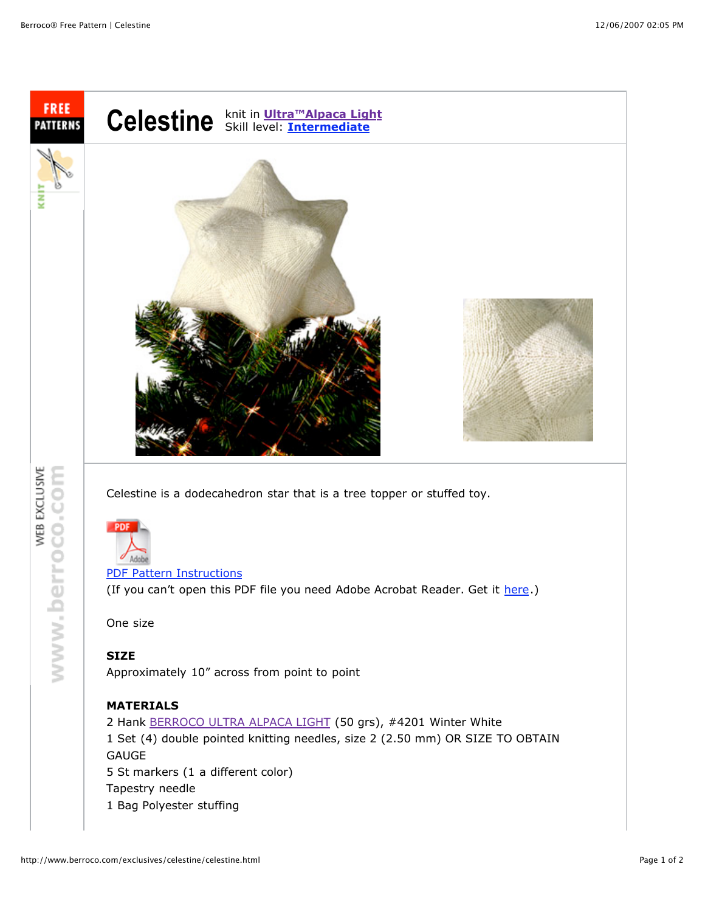